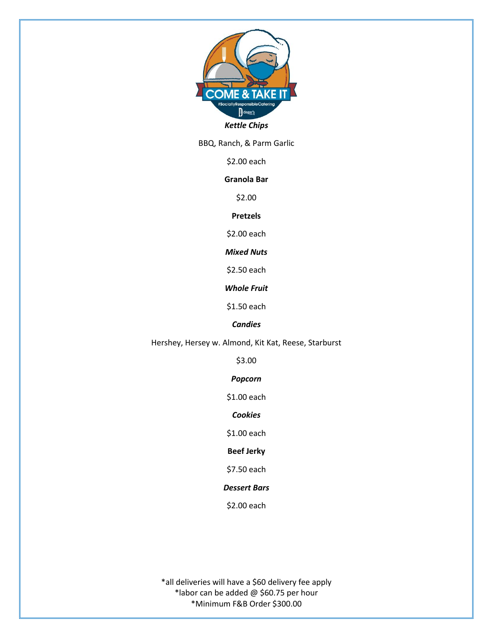

BBQ, Ranch, & Parm Garlic

\$2.00 each

## **Granola Bar**

\$2.00

**Pretzels** 

\$2.00 each

*Mixed Nuts*

\$2.50 each

*Whole Fruit*

\$1.50 each

# *Candies*

Hershey, Hersey w. Almond, Kit Kat, Reese, Starburst

\$3.00

*Popcorn*

\$1.00 each

*Cookies*

\$1.00 each

**Beef Jerky**

\$7.50 each

## *Dessert Bars*

\$2.00 each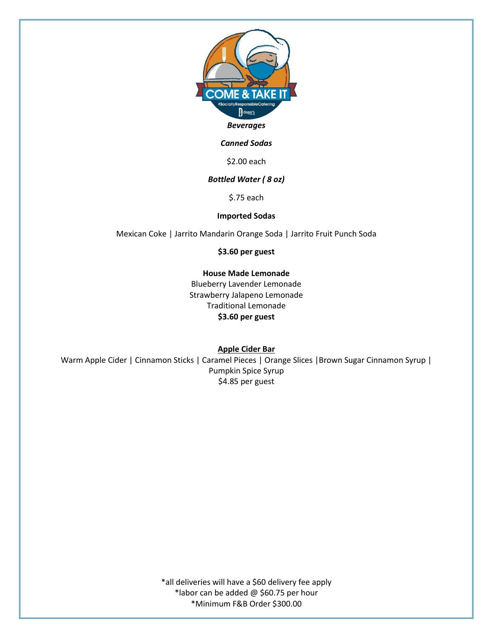

### *Canned Sodas*

\$2.00 each

### *Bottled Water ( 8 oz)*

\$.75 each

#### **Imported Sodas**

Mexican Coke | Jarrito Mandarin Orange Soda | Jarrito Fruit Punch Soda

**\$3.60 per guest**

### **House Made Lemonade**

Blueberry Lavender Lemonade Strawberry Jalapeno Lemonade Traditional Lemonade **\$3.60 per guest**

**Apple Cider Bar**

Warm Apple Cider | Cinnamon Sticks | Caramel Pieces | Orange Slices | Brown Sugar Cinnamon Syrup | Pumpkin Spice Syrup \$4.85 per guest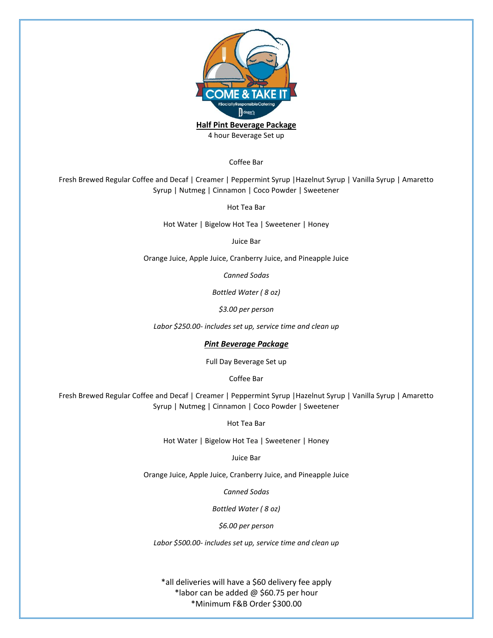

4 hour Beverage Set up

Coffee Bar

Fresh Brewed Regular Coffee and Decaf | Creamer | Peppermint Syrup |Hazelnut Syrup | Vanilla Syrup | Amaretto Syrup | Nutmeg | Cinnamon | Coco Powder | Sweetener

Hot Tea Bar

Hot Water | Bigelow Hot Tea | Sweetener | Honey

Juice Bar

Orange Juice, Apple Juice, Cranberry Juice, and Pineapple Juice

*Canned Sodas*

*Bottled Water ( 8 oz)*

*\$3.00 per person*

*Labor \$250.00- includes set up, service time and clean up*

#### *Pint Beverage Package*

Full Day Beverage Set up

Coffee Bar

Fresh Brewed Regular Coffee and Decaf | Creamer | Peppermint Syrup |Hazelnut Syrup | Vanilla Syrup | Amaretto Syrup | Nutmeg | Cinnamon | Coco Powder | Sweetener

Hot Tea Bar

Hot Water | Bigelow Hot Tea | Sweetener | Honey

Juice Bar

Orange Juice, Apple Juice, Cranberry Juice, and Pineapple Juice

*Canned Sodas*

*Bottled Water ( 8 oz)*

*\$6.00 per person*

*Labor \$500.00- includes set up, service time and clean up*